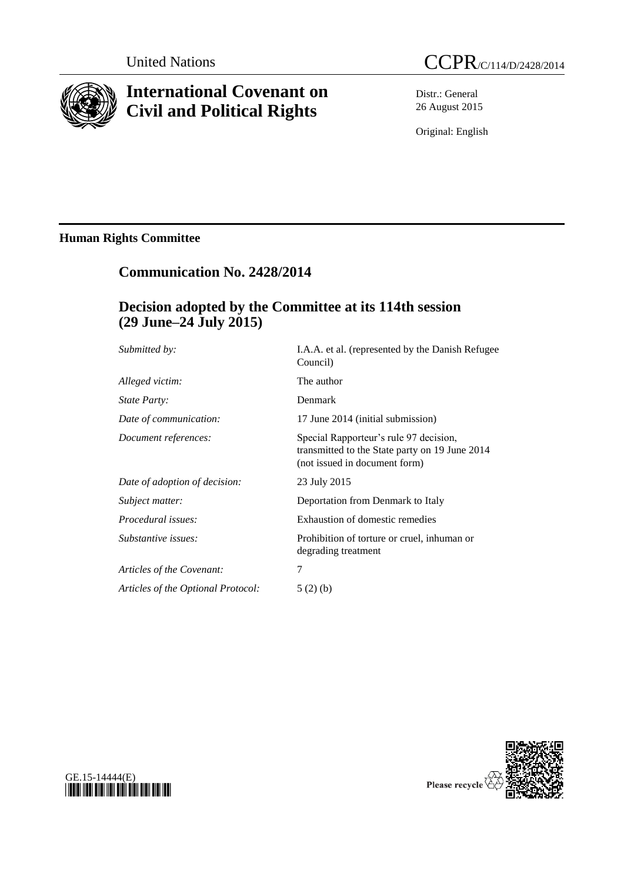

# **International Covenant on Civil and Political Rights**



Distr.: General 26 August 2015

Original: English

### **Human Rights Committee**

## **Communication No. 2428/2014**

## **Decision adopted by the Committee at its 114th session (29 June–24 July 2015)**

| I.A.A. et al. (represented by the Danish Refugee<br>Council)                                                              |
|---------------------------------------------------------------------------------------------------------------------------|
| The author                                                                                                                |
| Denmark                                                                                                                   |
| 17 June 2014 (initial submission)                                                                                         |
| Special Rapporteur's rule 97 decision,<br>transmitted to the State party on 19 June 2014<br>(not issued in document form) |
| 23 July 2015                                                                                                              |
| Deportation from Denmark to Italy                                                                                         |
| Exhaustion of domestic remedies                                                                                           |
| Prohibition of torture or cruel, inhuman or<br>degrading treatment                                                        |
| 7                                                                                                                         |
| 5(2)(b)                                                                                                                   |
|                                                                                                                           |



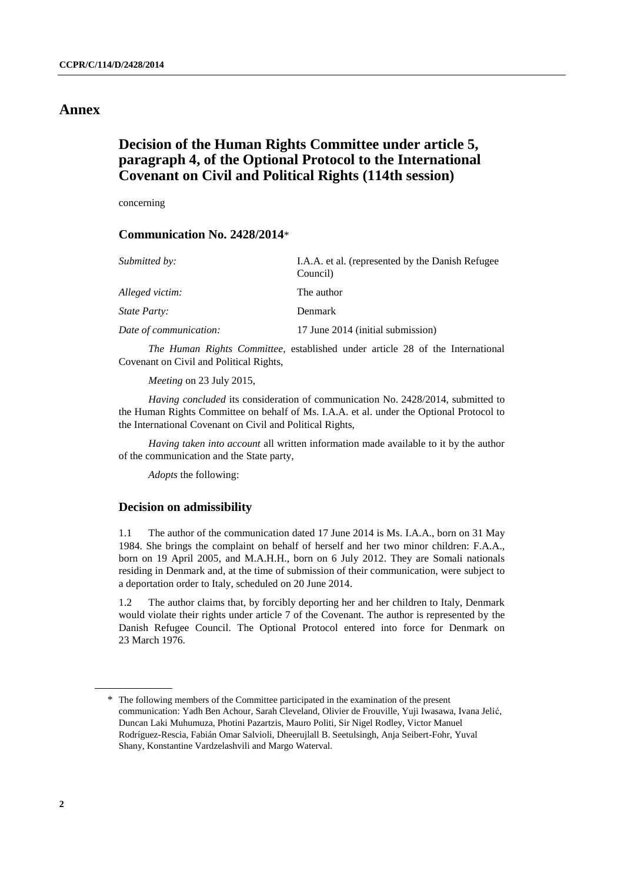### **Annex**

### **Decision of the Human Rights Committee under article 5, paragraph 4, of the Optional Protocol to the International Covenant on Civil and Political Rights (114th session)**

concerning

#### **Communication No. 2428/2014**\*

| Submitted by:          | I.A.A. et al. (represented by the Danish Refugee)<br>Council) |
|------------------------|---------------------------------------------------------------|
| Alleged victim:        | The author                                                    |
| State Party:           | <b>Denmark</b>                                                |
| Date of communication: | 17 June 2014 (initial submission)                             |

*The Human Rights Committee*, established under article 28 of the International Covenant on Civil and Political Rights,

*Meeting* on 23 July 2015,

*Having concluded* its consideration of communication No. 2428/2014, submitted to the Human Rights Committee on behalf of Ms. I.A.A. et al. under the Optional Protocol to the International Covenant on Civil and Political Rights,

*Having taken into account* all written information made available to it by the author of the communication and the State party,

*Adopts* the following:

#### **Decision on admissibility**

1.1 The author of the communication dated 17 June 2014 is Ms. I.A.A., born on 31 May 1984. She brings the complaint on behalf of herself and her two minor children: F.A.A., born on 19 April 2005, and M.A.H.H., born on 6 July 2012. They are Somali nationals residing in Denmark and, at the time of submission of their communication, were subject to a deportation order to Italy, scheduled on 20 June 2014.

1.2 The author claims that, by forcibly deporting her and her children to Italy, Denmark would violate their rights under article 7 of the Covenant. The author is represented by the Danish Refugee Council. The Optional Protocol entered into force for Denmark on 23 March 1976.

<sup>\*</sup> The following members of the Committee participated in the examination of the present communication: Yadh Ben Achour, Sarah Cleveland, Olivier de Frouville, Yuji Iwasawa, Ivana Jelić, Duncan Laki Muhumuza, Photini Pazartzis, Mauro Politi, Sir Nigel Rodley, Victor Manuel Rodríguez-Rescia, Fabián Omar Salvioli, Dheerujlall B. Seetulsingh, Anja Seibert-Fohr, Yuval Shany, Konstantine Vardzelashvili and Margo Waterval.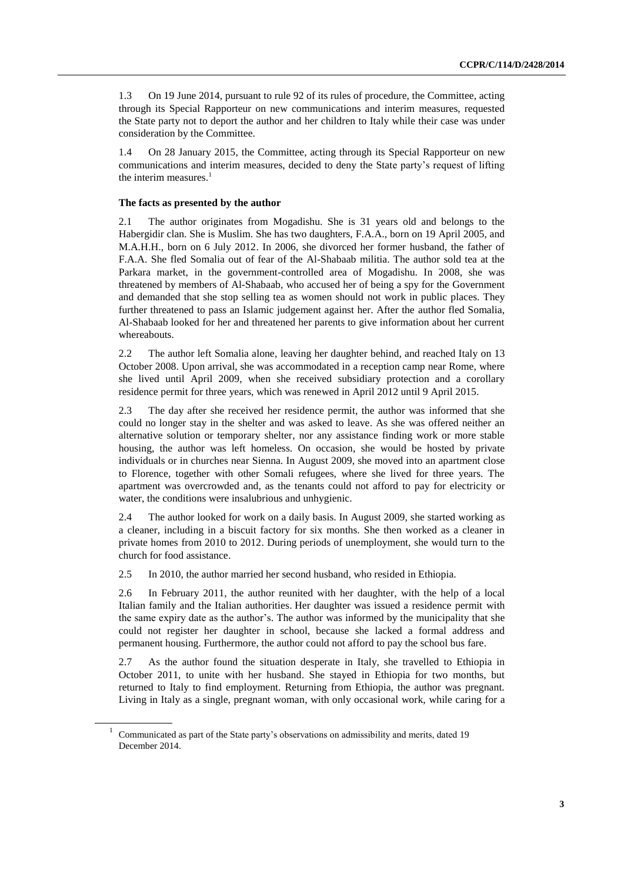1.3 On 19 June 2014, pursuant to rule 92 of its rules of procedure, the Committee, acting through its Special Rapporteur on new communications and interim measures, requested the State party not to deport the author and her children to Italy while their case was under consideration by the Committee.

1.4 On 28 January 2015, the Committee, acting through its Special Rapporteur on new communications and interim measures, decided to deny the State party's request of lifting the interim measures. $<sup>1</sup>$ </sup>

#### **The facts as presented by the author**

2.1 The author originates from Mogadishu. She is 31 years old and belongs to the Habergidir clan. She is Muslim. She has two daughters, F.A.A., born on 19 April 2005, and M.A.H.H., born on 6 July 2012. In 2006, she divorced her former husband, the father of F.A.A. She fled Somalia out of fear of the Al-Shabaab militia. The author sold tea at the Parkara market, in the government-controlled area of Mogadishu. In 2008, she was threatened by members of Al-Shabaab, who accused her of being a spy for the Government and demanded that she stop selling tea as women should not work in public places. They further threatened to pass an Islamic judgement against her. After the author fled Somalia, Al-Shabaab looked for her and threatened her parents to give information about her current whereabouts.

2.2 The author left Somalia alone, leaving her daughter behind, and reached Italy on 13 October 2008. Upon arrival, she was accommodated in a reception camp near Rome, where she lived until April 2009, when she received subsidiary protection and a corollary residence permit for three years, which was renewed in April 2012 until 9 April 2015.

2.3 The day after she received her residence permit, the author was informed that she could no longer stay in the shelter and was asked to leave. As she was offered neither an alternative solution or temporary shelter, nor any assistance finding work or more stable housing, the author was left homeless. On occasion, she would be hosted by private individuals or in churches near Sienna. In August 2009, she moved into an apartment close to Florence, together with other Somali refugees, where she lived for three years. The apartment was overcrowded and, as the tenants could not afford to pay for electricity or water, the conditions were insalubrious and unhygienic.

2.4 The author looked for work on a daily basis. In August 2009, she started working as a cleaner, including in a biscuit factory for six months. She then worked as a cleaner in private homes from 2010 to 2012. During periods of unemployment, she would turn to the church for food assistance.

2.5 In 2010, the author married her second husband, who resided in Ethiopia.

2.6 In February 2011, the author reunited with her daughter, with the help of a local Italian family and the Italian authorities. Her daughter was issued a residence permit with the same expiry date as the author's. The author was informed by the municipality that she could not register her daughter in school, because she lacked a formal address and permanent housing. Furthermore, the author could not afford to pay the school bus fare.

2.7 As the author found the situation desperate in Italy, she travelled to Ethiopia in October 2011, to unite with her husband. She stayed in Ethiopia for two months, but returned to Italy to find employment. Returning from Ethiopia, the author was pregnant. Living in Italy as a single, pregnant woman, with only occasional work, while caring for a

<sup>1</sup> Communicated as part of the State party's observations on admissibility and merits, dated 19 December 2014.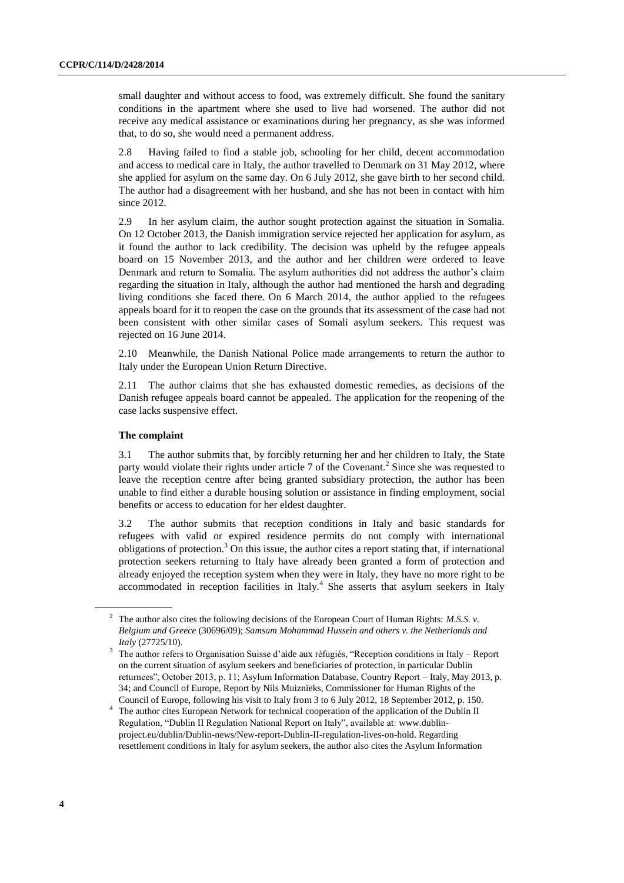small daughter and without access to food, was extremely difficult. She found the sanitary conditions in the apartment where she used to live had worsened. The author did not receive any medical assistance or examinations during her pregnancy, as she was informed that, to do so, she would need a permanent address.

2.8 Having failed to find a stable job, schooling for her child, decent accommodation and access to medical care in Italy, the author travelled to Denmark on 31 May 2012, where she applied for asylum on the same day. On 6 July 2012, she gave birth to her second child. The author had a disagreement with her husband, and she has not been in contact with him since 2012.

2.9 In her asylum claim, the author sought protection against the situation in Somalia. On 12 October 2013, the Danish immigration service rejected her application for asylum, as it found the author to lack credibility. The decision was upheld by the refugee appeals board on 15 November 2013, and the author and her children were ordered to leave Denmark and return to Somalia. The asylum authorities did not address the author's claim regarding the situation in Italy, although the author had mentioned the harsh and degrading living conditions she faced there. On 6 March 2014, the author applied to the refugees appeals board for it to reopen the case on the grounds that its assessment of the case had not been consistent with other similar cases of Somali asylum seekers. This request was rejected on 16 June 2014.

2.10 Meanwhile, the Danish National Police made arrangements to return the author to Italy under the European Union Return Directive.

2.11 The author claims that she has exhausted domestic remedies, as decisions of the Danish refugee appeals board cannot be appealed. The application for the reopening of the case lacks suspensive effect.

#### **The complaint**

3.1 The author submits that, by forcibly returning her and her children to Italy, the State party would violate their rights under article  $7$  of the Covenant.<sup>2</sup> Since she was requested to leave the reception centre after being granted subsidiary protection, the author has been unable to find either a durable housing solution or assistance in finding employment, social benefits or access to education for her eldest daughter.

3.2 The author submits that reception conditions in Italy and basic standards for refugees with valid or expired residence permits do not comply with international obligations of protection.<sup>3</sup> On this issue, the author cites a report stating that, if international protection seekers returning to Italy have already been granted a form of protection and already enjoyed the reception system when they were in Italy, they have no more right to be accommodated in reception facilities in Italy.<sup>4</sup> She asserts that asylum seekers in Italy

<sup>2</sup> The author also cites the following decisions of the European Court of Human Rights: *M.S.S. v. Belgium and Greece* (30696/09); *Samsam Mohammad Hussein and others v. the Netherlands and Italy* (27725/10).

<sup>3</sup> The author refers to Organisation Suisse d'aide aux réfugiés, "Reception conditions in Italy – Report on the current situation of asylum seekers and beneficiaries of protection, in particular Dublin returnees", October 2013, p. 11; Asylum Information Database, Country Report – Italy, May 2013, p. 34; and Council of Europe, Report by Nils Muiznieks, Commissioner for Human Rights of the Council of Europe, following his visit to Italy from 3 to 6 July 2012, 18 September 2012, p. 150.

<sup>&</sup>lt;sup>4</sup> The author cites European Network for technical cooperation of the application of the Dublin II Regulation, "Dublin II Regulation National Report on Italy", available at: [www.dublin](http://www.dublin-project.eu/dublin/Dublin-news/New-report-Dublin-II-regulation-lives-on-hold)[project.eu/dublin/Dublin-news/New-report-Dublin-II-regulation-lives-on-hold.](http://www.dublin-project.eu/dublin/Dublin-news/New-report-Dublin-II-regulation-lives-on-hold) Regarding resettlement conditions in Italy for asylum seekers, the author also cites the Asylum Information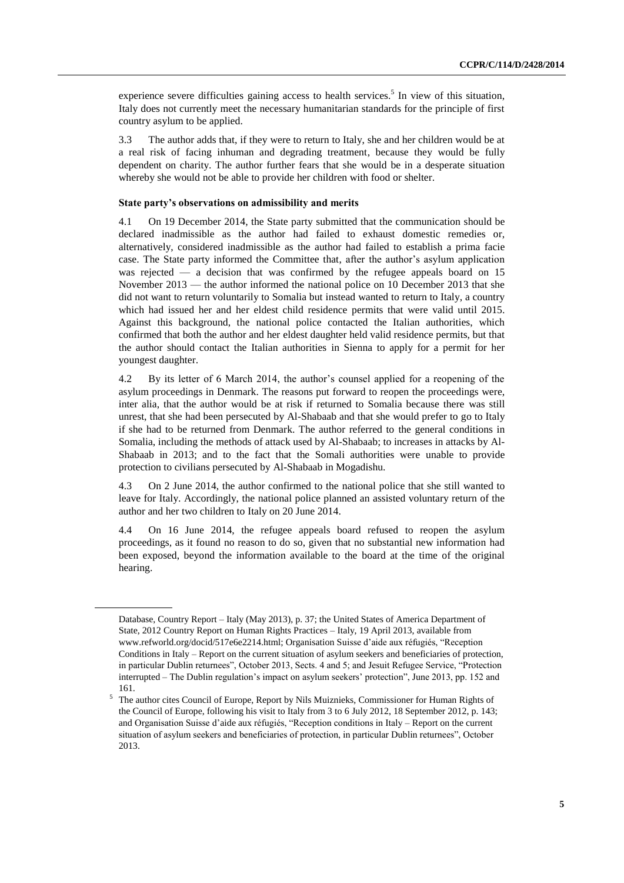experience severe difficulties gaining access to health services.<sup>5</sup> In view of this situation, Italy does not currently meet the necessary humanitarian standards for the principle of first country asylum to be applied.

3.3 The author adds that, if they were to return to Italy, she and her children would be at a real risk of facing inhuman and degrading treatment, because they would be fully dependent on charity. The author further fears that she would be in a desperate situation whereby she would not be able to provide her children with food or shelter.

#### **State party's observations on admissibility and merits**

4.1 On 19 December 2014, the State party submitted that the communication should be declared inadmissible as the author had failed to exhaust domestic remedies or, alternatively, considered inadmissible as the author had failed to establish a prima facie case. The State party informed the Committee that, after the author's asylum application was rejected — a decision that was confirmed by the refugee appeals board on 15 November 2013 — the author informed the national police on 10 December 2013 that she did not want to return voluntarily to Somalia but instead wanted to return to Italy, a country which had issued her and her eldest child residence permits that were valid until 2015. Against this background, the national police contacted the Italian authorities, which confirmed that both the author and her eldest daughter held valid residence permits, but that the author should contact the Italian authorities in Sienna to apply for a permit for her youngest daughter.

4.2 By its letter of 6 March 2014, the author's counsel applied for a reopening of the asylum proceedings in Denmark. The reasons put forward to reopen the proceedings were, inter alia, that the author would be at risk if returned to Somalia because there was still unrest, that she had been persecuted by Al-Shabaab and that she would prefer to go to Italy if she had to be returned from Denmark. The author referred to the general conditions in Somalia, including the methods of attack used by Al-Shabaab; to increases in attacks by Al-Shabaab in 2013; and to the fact that the Somali authorities were unable to provide protection to civilians persecuted by Al-Shabaab in Mogadishu.

4.3 On 2 June 2014, the author confirmed to the national police that she still wanted to leave for Italy. Accordingly, the national police planned an assisted voluntary return of the author and her two children to Italy on 20 June 2014.

4.4 On 16 June 2014, the refugee appeals board refused to reopen the asylum proceedings, as it found no reason to do so, given that no substantial new information had been exposed, beyond the information available to the board at the time of the original hearing.

Database, Country Report – Italy (May 2013), p. 37; the United States of America Department of State, 2012 Country Report on Human Rights Practices – Italy, 19 April 2013, available from www.refworld.org/docid/517e6e2214.html; Organisation Suisse d'aide aux réfugiés, "Reception Conditions in Italy – Report on the current situation of asylum seekers and beneficiaries of protection, in particular Dublin returnees", October 2013, Sects. 4 and 5; and Jesuit Refugee Service, "Protection interrupted – The Dublin regulation's impact on asylum seekers' protection", June 2013, pp. 152 and 161.

<sup>5</sup> The author cites Council of Europe, Report by Nils Muiznieks, Commissioner for Human Rights of the Council of Europe, following his visit to Italy from 3 to 6 July 2012, 18 September 2012, p. 143; and Organisation Suisse d'aide aux réfugiés, "Reception conditions in Italy – Report on the current situation of asylum seekers and beneficiaries of protection, in particular Dublin returnees", October 2013.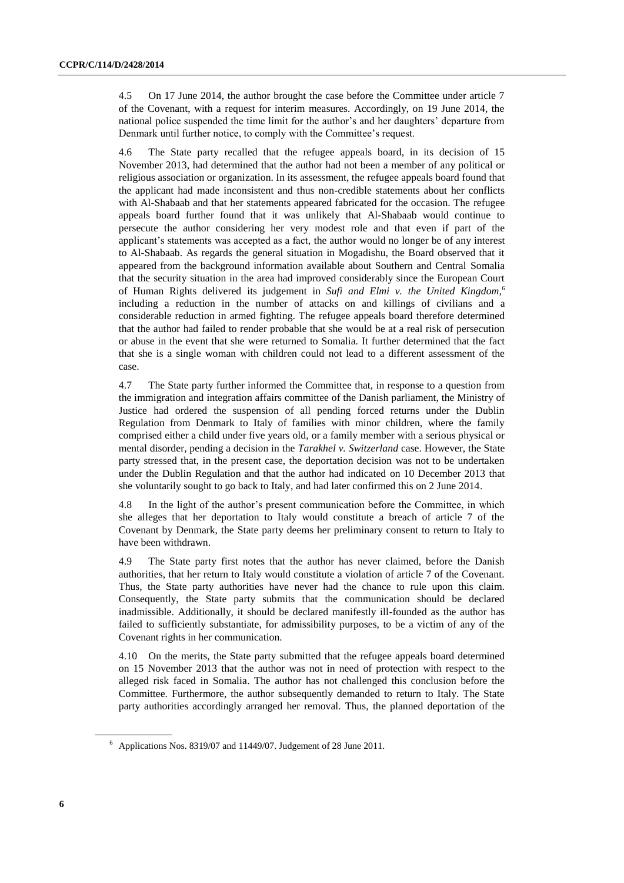4.5 On 17 June 2014, the author brought the case before the Committee under article 7 of the Covenant, with a request for interim measures. Accordingly, on 19 June 2014, the national police suspended the time limit for the author's and her daughters' departure from Denmark until further notice, to comply with the Committee's request.

4.6 The State party recalled that the refugee appeals board, in its decision of 15 November 2013, had determined that the author had not been a member of any political or religious association or organization. In its assessment, the refugee appeals board found that the applicant had made inconsistent and thus non-credible statements about her conflicts with Al-Shabaab and that her statements appeared fabricated for the occasion. The refugee appeals board further found that it was unlikely that Al-Shabaab would continue to persecute the author considering her very modest role and that even if part of the applicant's statements was accepted as a fact, the author would no longer be of any interest to Al-Shabaab. As regards the general situation in Mogadishu, the Board observed that it appeared from the background information available about Southern and Central Somalia that the security situation in the area had improved considerably since the European Court of Human Rights delivered its judgement in *Sufi and Elmi v. the United Kingdom*, 6 including a reduction in the number of attacks on and killings of civilians and a considerable reduction in armed fighting. The refugee appeals board therefore determined that the author had failed to render probable that she would be at a real risk of persecution or abuse in the event that she were returned to Somalia. It further determined that the fact that she is a single woman with children could not lead to a different assessment of the case.

4.7 The State party further informed the Committee that, in response to a question from the immigration and integration affairs committee of the Danish parliament, the Ministry of Justice had ordered the suspension of all pending forced returns under the Dublin Regulation from Denmark to Italy of families with minor children, where the family comprised either a child under five years old, or a family member with a serious physical or mental disorder, pending a decision in the *Tarakhel v. Switzerland* case. However, the State party stressed that, in the present case, the deportation decision was not to be undertaken under the Dublin Regulation and that the author had indicated on 10 December 2013 that she voluntarily sought to go back to Italy, and had later confirmed this on 2 June 2014.

4.8 In the light of the author's present communication before the Committee, in which she alleges that her deportation to Italy would constitute a breach of article 7 of the Covenant by Denmark, the State party deems her preliminary consent to return to Italy to have been withdrawn.

4.9 The State party first notes that the author has never claimed, before the Danish authorities, that her return to Italy would constitute a violation of article 7 of the Covenant. Thus, the State party authorities have never had the chance to rule upon this claim. Consequently, the State party submits that the communication should be declared inadmissible. Additionally, it should be declared manifestly ill-founded as the author has failed to sufficiently substantiate, for admissibility purposes, to be a victim of any of the Covenant rights in her communication.

4.10 On the merits, the State party submitted that the refugee appeals board determined on 15 November 2013 that the author was not in need of protection with respect to the alleged risk faced in Somalia. The author has not challenged this conclusion before the Committee. Furthermore, the author subsequently demanded to return to Italy. The State party authorities accordingly arranged her removal. Thus, the planned deportation of the

 $6$  Applications Nos[. 8319/07](http://hudoc.echr.coe.int/sites/eng/pages/search.aspx#{"appno":["8319/07"]}) an[d 11449/07.](http://hudoc.echr.coe.int/sites/eng/pages/search.aspx#{"appno":["11449/07"]}) Judgement of 28 June 2011.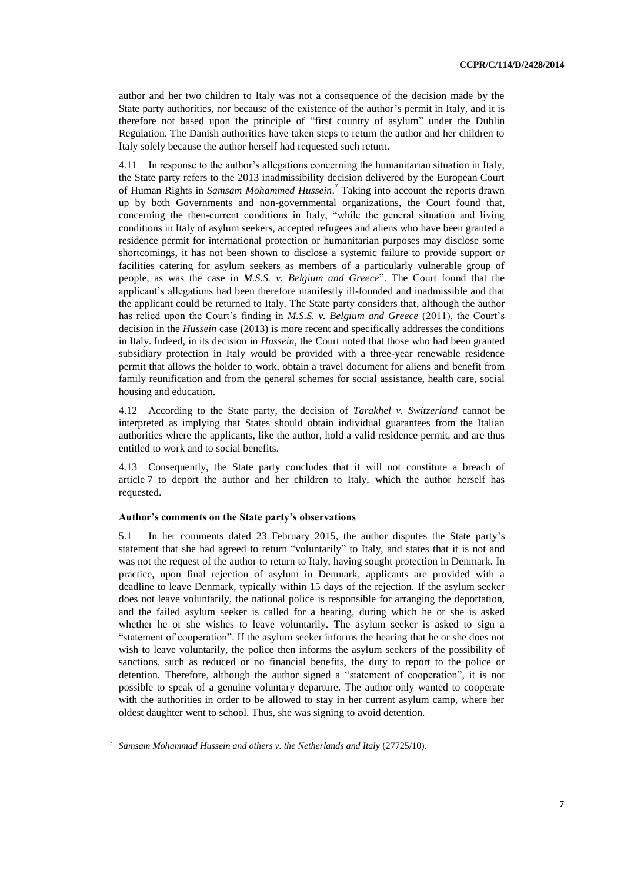author and her two children to Italy was not a consequence of the decision made by the State party authorities, nor because of the existence of the author's permit in Italy, and it is therefore not based upon the principle of "first country of asylum" under the Dublin Regulation. The Danish authorities have taken steps to return the author and her children to Italy solely because the author herself had requested such return.

4.11 In response to the author's allegations concerning the humanitarian situation in Italy, the State party refers to the 2013 inadmissibility decision delivered by the European Court of Human Rights in *Samsam Mohammed Hussein*. <sup>7</sup> Taking into account the reports drawn up by both Governments and non-governmental organizations, the Court found that, concerning the then-current conditions in Italy, "while the general situation and living conditions in Italy of asylum seekers, accepted refugees and aliens who have been granted a residence permit for international protection or humanitarian purposes may disclose some shortcomings, it has not been shown to disclose a systemic failure to provide support or facilities catering for asylum seekers as members of a particularly vulnerable group of people, as was the case in *M.S.S. v. Belgium and Greece*". The Court found that the applicant's allegations had been therefore manifestly ill-founded and inadmissible and that the applicant could be returned to Italy. The State party considers that, although the author has relied upon the Court's finding in *M.S.S. v. Belgium and Greece* (2011), the Court's decision in the *Hussein* case (2013) is more recent and specifically addresses the conditions in Italy. Indeed, in its decision in *Hussein*, the Court noted that those who had been granted subsidiary protection in Italy would be provided with a three-year renewable residence permit that allows the holder to work, obtain a travel document for aliens and benefit from family reunification and from the general schemes for social assistance, health care, social housing and education.

4.12 According to the State party, the decision of *Tarakhel v. Switzerland* cannot be interpreted as implying that States should obtain individual guarantees from the Italian authorities where the applicants, like the author, hold a valid residence permit, and are thus entitled to work and to social benefits.

4.13 Consequently, the State party concludes that it will not constitute a breach of article 7 to deport the author and her children to Italy, which the author herself has requested.

#### **Author's comments on the State party's observations**

5.1 In her comments dated 23 February 2015, the author disputes the State party's statement that she had agreed to return "voluntarily" to Italy, and states that it is not and was not the request of the author to return to Italy, having sought protection in Denmark. In practice, upon final rejection of asylum in Denmark, applicants are provided with a deadline to leave Denmark, typically within 15 days of the rejection. If the asylum seeker does not leave voluntarily, the national police is responsible for arranging the deportation, and the failed asylum seeker is called for a hearing, during which he or she is asked whether he or she wishes to leave voluntarily. The asylum seeker is asked to sign a "statement of cooperation". If the asylum seeker informs the hearing that he or she does not wish to leave voluntarily, the police then informs the asylum seekers of the possibility of sanctions, such as reduced or no financial benefits, the duty to report to the police or detention. Therefore, although the author signed a "statement of cooperation", it is not possible to speak of a genuine voluntary departure. The author only wanted to cooperate with the authorities in order to be allowed to stay in her current asylum camp, where her oldest daughter went to school. Thus, she was signing to avoid detention.

<sup>7</sup> *Samsam Mohammad Hussein and others v. the Netherlands and Italy* (27725/10).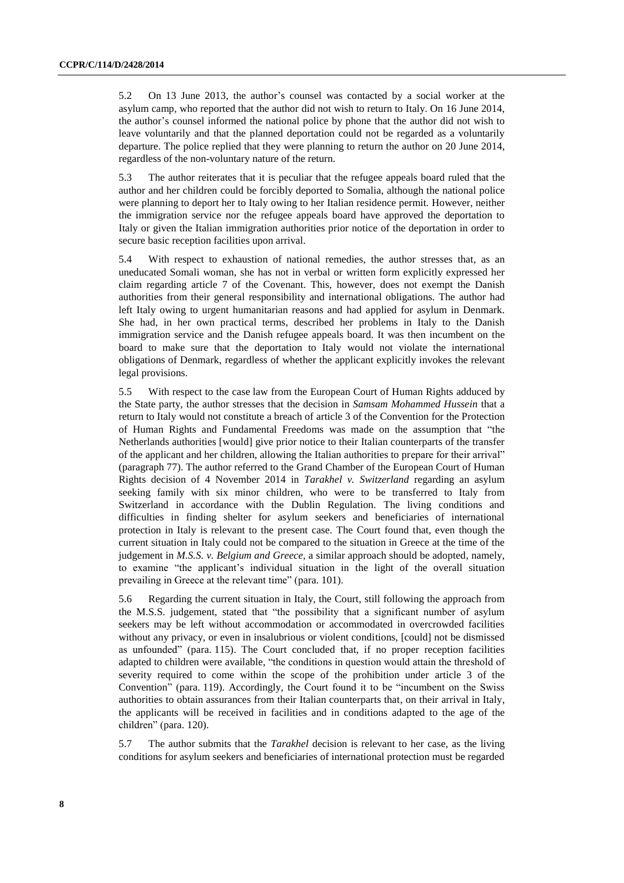5.2 On 13 June 2013, the author's counsel was contacted by a social worker at the asylum camp, who reported that the author did not wish to return to Italy. On 16 June 2014, the author's counsel informed the national police by phone that the author did not wish to leave voluntarily and that the planned deportation could not be regarded as a voluntarily departure. The police replied that they were planning to return the author on 20 June 2014, regardless of the non-voluntary nature of the return.

5.3 The author reiterates that it is peculiar that the refugee appeals board ruled that the author and her children could be forcibly deported to Somalia, although the national police were planning to deport her to Italy owing to her Italian residence permit. However, neither the immigration service nor the refugee appeals board have approved the deportation to Italy or given the Italian immigration authorities prior notice of the deportation in order to secure basic reception facilities upon arrival.

5.4 With respect to exhaustion of national remedies, the author stresses that, as an uneducated Somali woman, she has not in verbal or written form explicitly expressed her claim regarding article 7 of the Covenant. This, however, does not exempt the Danish authorities from their general responsibility and international obligations. The author had left Italy owing to urgent humanitarian reasons and had applied for asylum in Denmark. She had, in her own practical terms, described her problems in Italy to the Danish immigration service and the Danish refugee appeals board. It was then incumbent on the board to make sure that the deportation to Italy would not violate the international obligations of Denmark, regardless of whether the applicant explicitly invokes the relevant legal provisions.

5.5 With respect to the case law from the European Court of Human Rights adduced by the State party, the author stresses that the decision in *Samsam Mohammed Hussein* that a return to Italy would not constitute a breach of article 3 of the Convention for the Protection of Human Rights and Fundamental Freedoms was made on the assumption that "the Netherlands authorities [would] give prior notice to their Italian counterparts of the transfer of the applicant and her children, allowing the Italian authorities to prepare for their arrival" (paragraph 77). The author referred to the Grand Chamber of the European Court of Human Rights decision of 4 November 2014 in *Tarakhel v. Switzerland* regarding an asylum seeking family with six minor children, who were to be transferred to Italy from Switzerland in accordance with the Dublin Regulation. The living conditions and difficulties in finding shelter for asylum seekers and beneficiaries of international protection in Italy is relevant to the present case. The Court found that, even though the current situation in Italy could not be compared to the situation in Greece at the time of the judgement in *M.S.S. v. Belgium and Greece*, a similar approach should be adopted, namely, to examine "the applicant's individual situation in the light of the overall situation prevailing in Greece at the relevant time" (para. 101).

5.6 Regarding the current situation in Italy, the Court, still following the approach from the M.S.S. judgement, stated that "the possibility that a significant number of asylum seekers may be left without accommodation or accommodated in overcrowded facilities without any privacy, or even in insalubrious or violent conditions, [could] not be dismissed as unfounded" (para. 115). The Court concluded that, if no proper reception facilities adapted to children were available, "the conditions in question would attain the threshold of severity required to come within the scope of the prohibition under article 3 of the Convention" (para. 119). Accordingly, the Court found it to be "incumbent on the Swiss authorities to obtain assurances from their Italian counterparts that, on their arrival in Italy, the applicants will be received in facilities and in conditions adapted to the age of the children" (para. 120).

5.7 The author submits that the *Tarakhel* decision is relevant to her case, as the living conditions for asylum seekers and beneficiaries of international protection must be regarded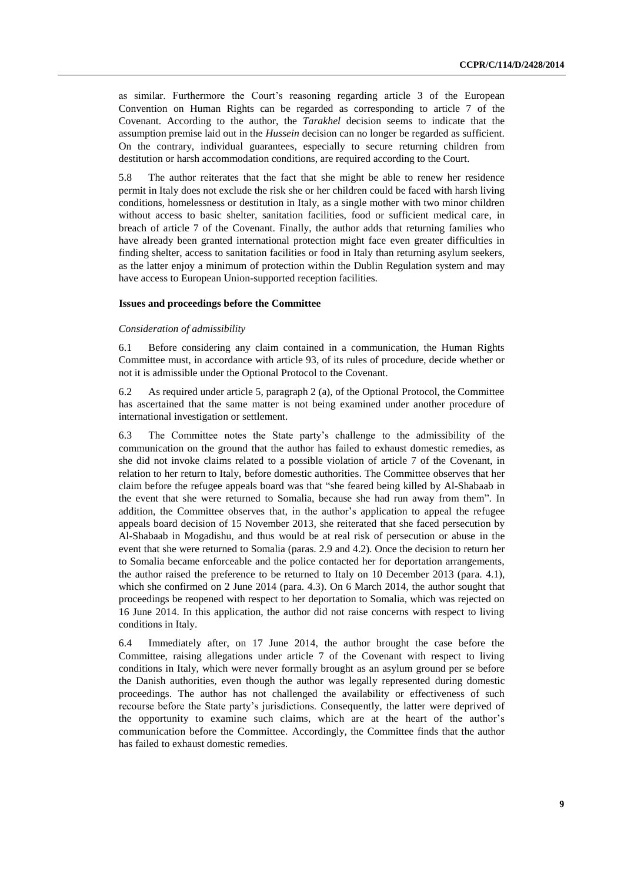as similar. Furthermore the Court's reasoning regarding article 3 of the European Convention on Human Rights can be regarded as corresponding to article 7 of the Covenant. According to the author, the *Tarakhel* decision seems to indicate that the assumption premise laid out in the *Hussein* decision can no longer be regarded as sufficient. On the contrary, individual guarantees, especially to secure returning children from destitution or harsh accommodation conditions, are required according to the Court.

5.8 The author reiterates that the fact that she might be able to renew her residence permit in Italy does not exclude the risk she or her children could be faced with harsh living conditions, homelessness or destitution in Italy, as a single mother with two minor children without access to basic shelter, sanitation facilities, food or sufficient medical care, in breach of article 7 of the Covenant. Finally, the author adds that returning families who have already been granted international protection might face even greater difficulties in finding shelter, access to sanitation facilities or food in Italy than returning asylum seekers, as the latter enjoy a minimum of protection within the Dublin Regulation system and may have access to European Union-supported reception facilities.

#### **Issues and proceedings before the Committee**

#### *Consideration of admissibility*

6.1 Before considering any claim contained in a communication, the Human Rights Committee must, in accordance with article 93, of its rules of procedure, decide whether or not it is admissible under the Optional Protocol to the Covenant.

6.2 As required under article 5, paragraph 2 (a), of the Optional Protocol, the Committee has ascertained that the same matter is not being examined under another procedure of international investigation or settlement.

6.3 The Committee notes the State party's challenge to the admissibility of the communication on the ground that the author has failed to exhaust domestic remedies, as she did not invoke claims related to a possible violation of article 7 of the Covenant, in relation to her return to Italy, before domestic authorities. The Committee observes that her claim before the refugee appeals board was that "she feared being killed by Al-Shabaab in the event that she were returned to Somalia, because she had run away from them". In addition, the Committee observes that, in the author's application to appeal the refugee appeals board decision of 15 November 2013, she reiterated that she faced persecution by Al-Shabaab in Mogadishu, and thus would be at real risk of persecution or abuse in the event that she were returned to Somalia (paras. 2.9 and 4.2). Once the decision to return her to Somalia became enforceable and the police contacted her for deportation arrangements, the author raised the preference to be returned to Italy on 10 December 2013 (para. 4.1), which she confirmed on 2 June 2014 (para. 4.3). On 6 March 2014, the author sought that proceedings be reopened with respect to her deportation to Somalia, which was rejected on 16 June 2014. In this application, the author did not raise concerns with respect to living conditions in Italy.

6.4 Immediately after, on 17 June 2014, the author brought the case before the Committee, raising allegations under article 7 of the Covenant with respect to living conditions in Italy, which were never formally brought as an asylum ground per se before the Danish authorities, even though the author was legally represented during domestic proceedings. The author has not challenged the availability or effectiveness of such recourse before the State party's jurisdictions. Consequently, the latter were deprived of the opportunity to examine such claims, which are at the heart of the author's communication before the Committee. Accordingly, the Committee finds that the author has failed to exhaust domestic remedies.